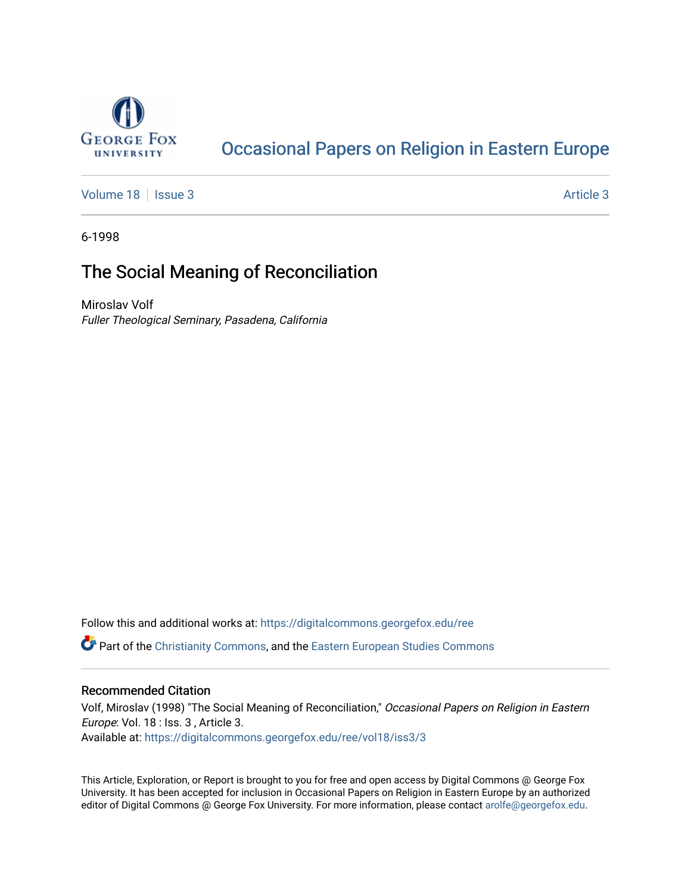

# [Occasional Papers on Religion in Eastern Europe](https://digitalcommons.georgefox.edu/ree)

[Volume 18](https://digitalcommons.georgefox.edu/ree/vol18) | [Issue 3](https://digitalcommons.georgefox.edu/ree/vol18/iss3) Article 3

6-1998

# The Social Meaning of Reconciliation

Miroslav Volf Fuller Theological Seminary, Pasadena, California

Follow this and additional works at: [https://digitalcommons.georgefox.edu/ree](https://digitalcommons.georgefox.edu/ree?utm_source=digitalcommons.georgefox.edu%2Free%2Fvol18%2Fiss3%2F3&utm_medium=PDF&utm_campaign=PDFCoverPages) 

**C** Part of the [Christianity Commons,](http://network.bepress.com/hgg/discipline/1181?utm_source=digitalcommons.georgefox.edu%2Free%2Fvol18%2Fiss3%2F3&utm_medium=PDF&utm_campaign=PDFCoverPages) and the [Eastern European Studies Commons](http://network.bepress.com/hgg/discipline/362?utm_source=digitalcommons.georgefox.edu%2Free%2Fvol18%2Fiss3%2F3&utm_medium=PDF&utm_campaign=PDFCoverPages)

## Recommended Citation

Volf, Miroslav (1998) "The Social Meaning of Reconciliation," Occasional Papers on Religion in Eastern Europe: Vol. 18 : Iss. 3 , Article 3. Available at: [https://digitalcommons.georgefox.edu/ree/vol18/iss3/3](https://digitalcommons.georgefox.edu/ree/vol18/iss3/3?utm_source=digitalcommons.georgefox.edu%2Free%2Fvol18%2Fiss3%2F3&utm_medium=PDF&utm_campaign=PDFCoverPages) 

This Article, Exploration, or Report is brought to you for free and open access by Digital Commons @ George Fox University. It has been accepted for inclusion in Occasional Papers on Religion in Eastern Europe by an authorized editor of Digital Commons @ George Fox University. For more information, please contact [arolfe@georgefox.edu.](mailto:arolfe@georgefox.edu)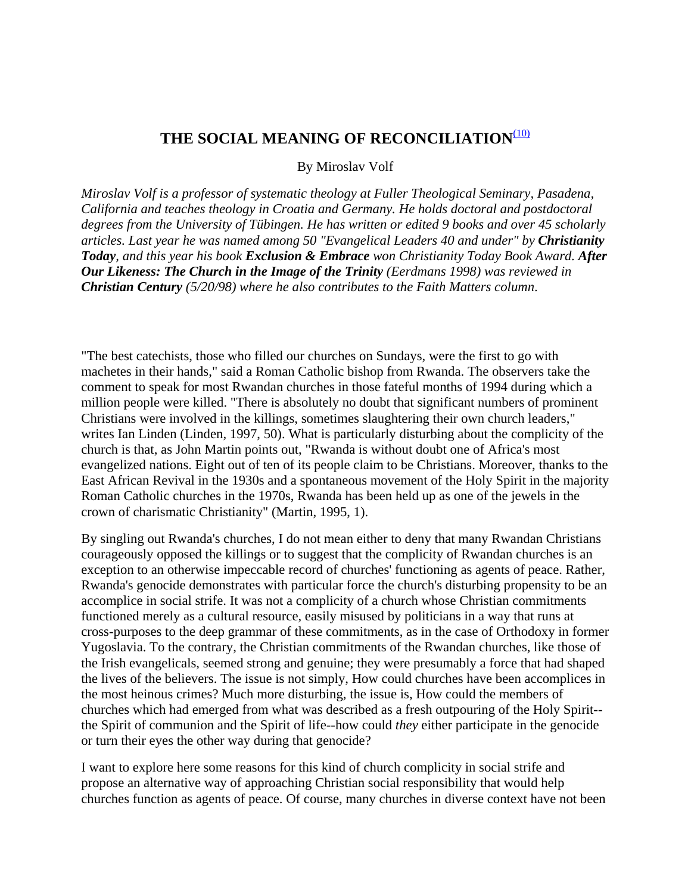## THE SOCIAL MEANING OF RECONCILIATION<sup>[\(10\)](#page-1-0)</sup>

By Miroslav Volf

<span id="page-1-0"></span>*Miroslav Volf is a professor of systematic theology at Fuller Theological Seminary, Pasadena, California and teaches theology in Croatia and Germany. He holds doctoral and postdoctoral degrees from the University of Tübingen. He has written or edited 9 books and over 45 scholarly*  articles. Last year he was named among 50 "Evangelical Leaders 40 and under" by **Christianity** *Today, and this year his book Exclusion & Embrace won Christianity Today Book Award. After Our Likeness: The Church in the Image of the Trinity (Eerdmans 1998) was reviewed in Christian Century (5/20/98) where he also contributes to the Faith Matters column*.

"The best catechists, those who filled our churches on Sundays, were the first to go with machetes in their hands," said a Roman Catholic bishop from Rwanda. The observers take the comment to speak for most Rwandan churches in those fateful months of 1994 during which a million people were killed. "There is absolutely no doubt that significant numbers of prominent Christians were involved in the killings, sometimes slaughtering their own church leaders," writes Ian Linden (Linden, 1997, 50). What is particularly disturbing about the complicity of the church is that, as John Martin points out, "Rwanda is without doubt one of Africa's most evangelized nations. Eight out of ten of its people claim to be Christians. Moreover, thanks to the East African Revival in the 1930s and a spontaneous movement of the Holy Spirit in the majority Roman Catholic churches in the 1970s, Rwanda has been held up as one of the jewels in the crown of charismatic Christianity" (Martin, 1995, 1).

By singling out Rwanda's churches, I do not mean either to deny that many Rwandan Christians courageously opposed the killings or to suggest that the complicity of Rwandan churches is an exception to an otherwise impeccable record of churches' functioning as agents of peace. Rather, Rwanda's genocide demonstrates with particular force the church's disturbing propensity to be an accomplice in social strife. It was not a complicity of a church whose Christian commitments functioned merely as a cultural resource, easily misused by politicians in a way that runs at cross-purposes to the deep grammar of these commitments, as in the case of Orthodoxy in former Yugoslavia. To the contrary, the Christian commitments of the Rwandan churches, like those of the Irish evangelicals, seemed strong and genuine; they were presumably a force that had shaped the lives of the believers. The issue is not simply, How could churches have been accomplices in the most heinous crimes? Much more disturbing, the issue is, How could the members of churches which had emerged from what was described as a fresh outpouring of the Holy Spirit- the Spirit of communion and the Spirit of life--how could *they* either participate in the genocide or turn their eyes the other way during that genocide?

I want to explore here some reasons for this kind of church complicity in social strife and propose an alternative way of approaching Christian social responsibility that would help churches function as agents of peace. Of course, many churches in diverse context have not been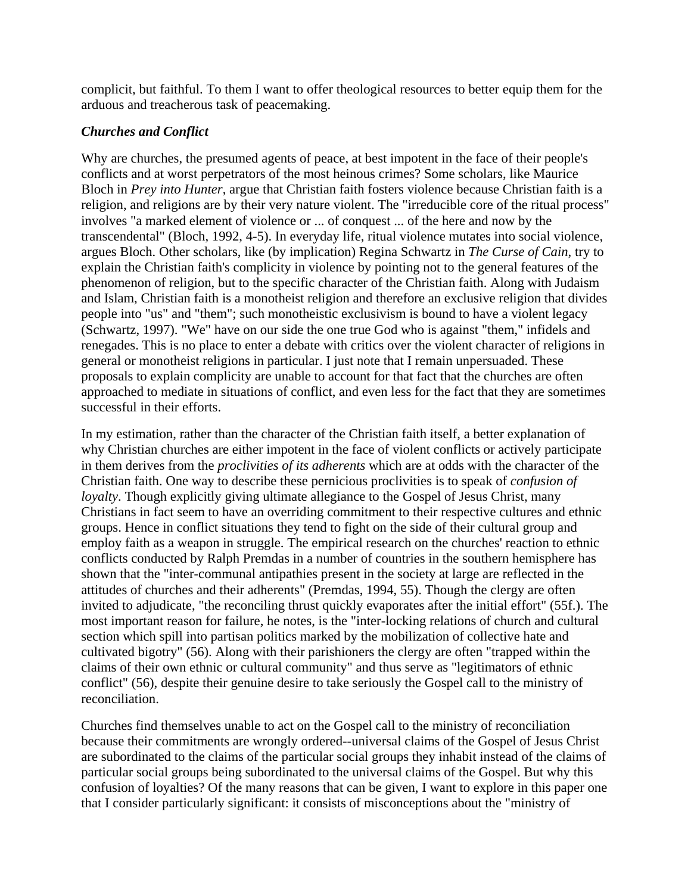complicit, but faithful. To them I want to offer theological resources to better equip them for the arduous and treacherous task of peacemaking.

## *Churches and Conflict*

Why are churches, the presumed agents of peace, at best impotent in the face of their people's conflicts and at worst perpetrators of the most heinous crimes? Some scholars, like Maurice Bloch in *Prey into Hunter*, argue that Christian faith fosters violence because Christian faith is a religion, and religions are by their very nature violent. The "irreducible core of the ritual process" involves "a marked element of violence or ... of conquest ... of the here and now by the transcendental" (Bloch, 1992, 4-5). In everyday life, ritual violence mutates into social violence, argues Bloch. Other scholars, like (by implication) Regina Schwartz in *The Curse of Cain*, try to explain the Christian faith's complicity in violence by pointing not to the general features of the phenomenon of religion, but to the specific character of the Christian faith. Along with Judaism and Islam, Christian faith is a monotheist religion and therefore an exclusive religion that divides people into "us" and "them"; such monotheistic exclusivism is bound to have a violent legacy (Schwartz, 1997). "We" have on our side the one true God who is against "them," infidels and renegades. This is no place to enter a debate with critics over the violent character of religions in general or monotheist religions in particular. I just note that I remain unpersuaded. These proposals to explain complicity are unable to account for that fact that the churches are often approached to mediate in situations of conflict, and even less for the fact that they are sometimes successful in their efforts.

In my estimation, rather than the character of the Christian faith itself, a better explanation of why Christian churches are either impotent in the face of violent conflicts or actively participate in them derives from the *proclivities of its adherents* which are at odds with the character of the Christian faith. One way to describe these pernicious proclivities is to speak of *confusion of loyalty*. Though explicitly giving ultimate allegiance to the Gospel of Jesus Christ, many Christians in fact seem to have an overriding commitment to their respective cultures and ethnic groups. Hence in conflict situations they tend to fight on the side of their cultural group and employ faith as a weapon in struggle. The empirical research on the churches' reaction to ethnic conflicts conducted by Ralph Premdas in a number of countries in the southern hemisphere has shown that the "inter-communal antipathies present in the society at large are reflected in the attitudes of churches and their adherents" (Premdas, 1994, 55). Though the clergy are often invited to adjudicate, "the reconciling thrust quickly evaporates after the initial effort" (55f.). The most important reason for failure, he notes, is the "inter-locking relations of church and cultural section which spill into partisan politics marked by the mobilization of collective hate and cultivated bigotry" (56). Along with their parishioners the clergy are often "trapped within the claims of their own ethnic or cultural community" and thus serve as "legitimators of ethnic conflict" (56), despite their genuine desire to take seriously the Gospel call to the ministry of reconciliation.

Churches find themselves unable to act on the Gospel call to the ministry of reconciliation because their commitments are wrongly ordered--universal claims of the Gospel of Jesus Christ are subordinated to the claims of the particular social groups they inhabit instead of the claims of particular social groups being subordinated to the universal claims of the Gospel. But why this confusion of loyalties? Of the many reasons that can be given, I want to explore in this paper one that I consider particularly significant: it consists of misconceptions about the "ministry of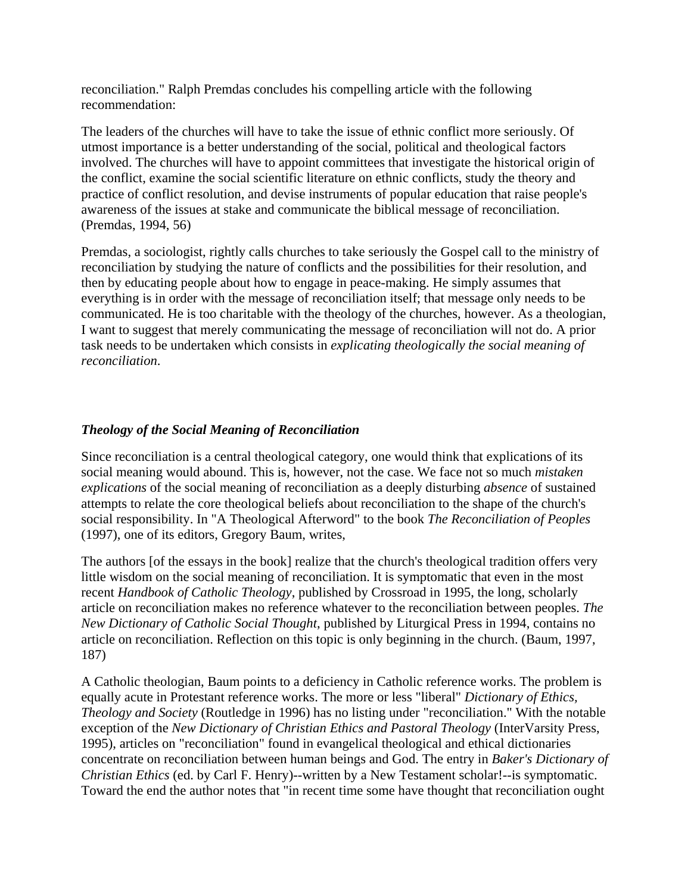reconciliation." Ralph Premdas concludes his compelling article with the following recommendation:

The leaders of the churches will have to take the issue of ethnic conflict more seriously. Of utmost importance is a better understanding of the social, political and theological factors involved. The churches will have to appoint committees that investigate the historical origin of the conflict, examine the social scientific literature on ethnic conflicts, study the theory and practice of conflict resolution, and devise instruments of popular education that raise people's awareness of the issues at stake and communicate the biblical message of reconciliation. (Premdas, 1994, 56)

Premdas, a sociologist, rightly calls churches to take seriously the Gospel call to the ministry of reconciliation by studying the nature of conflicts and the possibilities for their resolution, and then by educating people about how to engage in peace-making. He simply assumes that everything is in order with the message of reconciliation itself; that message only needs to be communicated. He is too charitable with the theology of the churches, however. As a theologian, I want to suggest that merely communicating the message of reconciliation will not do. A prior task needs to be undertaken which consists in *explicating theologically the social meaning of reconciliation*.

## *Theology of the Social Meaning of Reconciliation*

Since reconciliation is a central theological category, one would think that explications of its social meaning would abound. This is, however, not the case. We face not so much *mistaken explications* of the social meaning of reconciliation as a deeply disturbing *absence* of sustained attempts to relate the core theological beliefs about reconciliation to the shape of the church's social responsibility. In "A Theological Afterword" to the book *The Reconciliation of Peoples* (1997), one of its editors, Gregory Baum, writes,

The authors [of the essays in the book] realize that the church's theological tradition offers very little wisdom on the social meaning of reconciliation. It is symptomatic that even in the most recent *Handbook of Catholic Theology*, published by Crossroad in 1995, the long, scholarly article on reconciliation makes no reference whatever to the reconciliation between peoples. *The New Dictionary of Catholic Social Thought*, published by Liturgical Press in 1994, contains no article on reconciliation. Reflection on this topic is only beginning in the church. (Baum, 1997, 187)

A Catholic theologian, Baum points to a deficiency in Catholic reference works. The problem is equally acute in Protestant reference works. The more or less "liberal" *Dictionary of Ethics, Theology and Society* (Routledge in 1996) has no listing under "reconciliation." With the notable exception of the *New Dictionary of Christian Ethics and Pastoral Theology* (InterVarsity Press, 1995), articles on "reconciliation" found in evangelical theological and ethical dictionaries concentrate on reconciliation between human beings and God. The entry in *Baker's Dictionary of Christian Ethics* (ed. by Carl F. Henry)--written by a New Testament scholar!--is symptomatic. Toward the end the author notes that "in recent time some have thought that reconciliation ought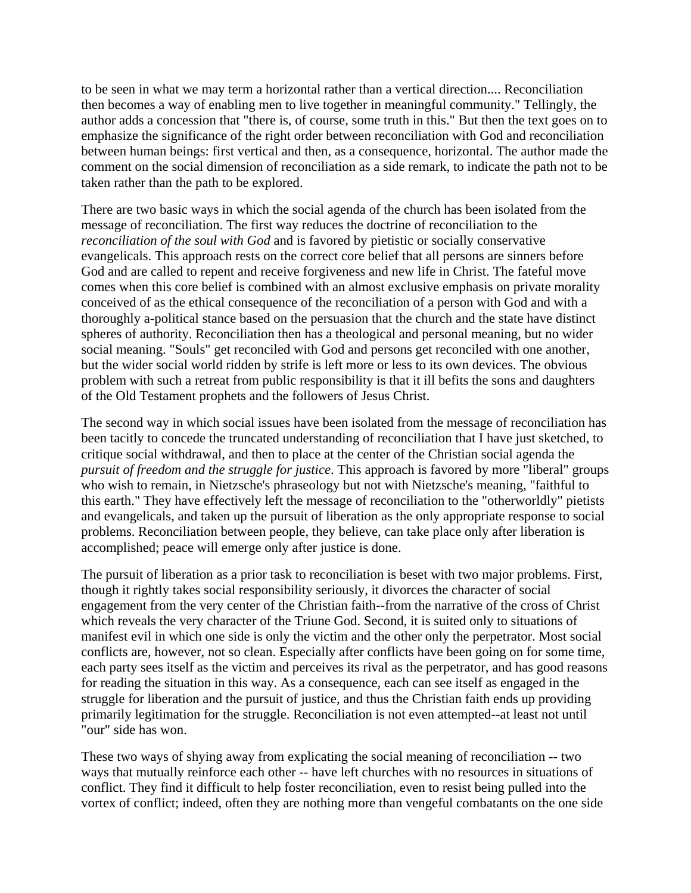to be seen in what we may term a horizontal rather than a vertical direction.... Reconciliation then becomes a way of enabling men to live together in meaningful community." Tellingly, the author adds a concession that "there is, of course, some truth in this." But then the text goes on to emphasize the significance of the right order between reconciliation with God and reconciliation between human beings: first vertical and then, as a consequence, horizontal. The author made the comment on the social dimension of reconciliation as a side remark, to indicate the path not to be taken rather than the path to be explored.

There are two basic ways in which the social agenda of the church has been isolated from the message of reconciliation. The first way reduces the doctrine of reconciliation to the *reconciliation of the soul with God* and is favored by pietistic or socially conservative evangelicals. This approach rests on the correct core belief that all persons are sinners before God and are called to repent and receive forgiveness and new life in Christ. The fateful move comes when this core belief is combined with an almost exclusive emphasis on private morality conceived of as the ethical consequence of the reconciliation of a person with God and with a thoroughly a-political stance based on the persuasion that the church and the state have distinct spheres of authority. Reconciliation then has a theological and personal meaning, but no wider social meaning. "Souls" get reconciled with God and persons get reconciled with one another, but the wider social world ridden by strife is left more or less to its own devices. The obvious problem with such a retreat from public responsibility is that it ill befits the sons and daughters of the Old Testament prophets and the followers of Jesus Christ.

The second way in which social issues have been isolated from the message of reconciliation has been tacitly to concede the truncated understanding of reconciliation that I have just sketched, to critique social withdrawal, and then to place at the center of the Christian social agenda the *pursuit of freedom and the struggle for justice*. This approach is favored by more "liberal" groups who wish to remain, in Nietzsche's phraseology but not with Nietzsche's meaning, "faithful to this earth." They have effectively left the message of reconciliation to the "otherworldly" pietists and evangelicals, and taken up the pursuit of liberation as the only appropriate response to social problems. Reconciliation between people, they believe, can take place only after liberation is accomplished; peace will emerge only after justice is done.

The pursuit of liberation as a prior task to reconciliation is beset with two major problems. First, though it rightly takes social responsibility seriously, it divorces the character of social engagement from the very center of the Christian faith--from the narrative of the cross of Christ which reveals the very character of the Triune God. Second, it is suited only to situations of manifest evil in which one side is only the victim and the other only the perpetrator. Most social conflicts are, however, not so clean. Especially after conflicts have been going on for some time, each party sees itself as the victim and perceives its rival as the perpetrator, and has good reasons for reading the situation in this way. As a consequence, each can see itself as engaged in the struggle for liberation and the pursuit of justice, and thus the Christian faith ends up providing primarily legitimation for the struggle. Reconciliation is not even attempted--at least not until "our" side has won.

These two ways of shying away from explicating the social meaning of reconciliation -- two ways that mutually reinforce each other -- have left churches with no resources in situations of conflict. They find it difficult to help foster reconciliation, even to resist being pulled into the vortex of conflict; indeed, often they are nothing more than vengeful combatants on the one side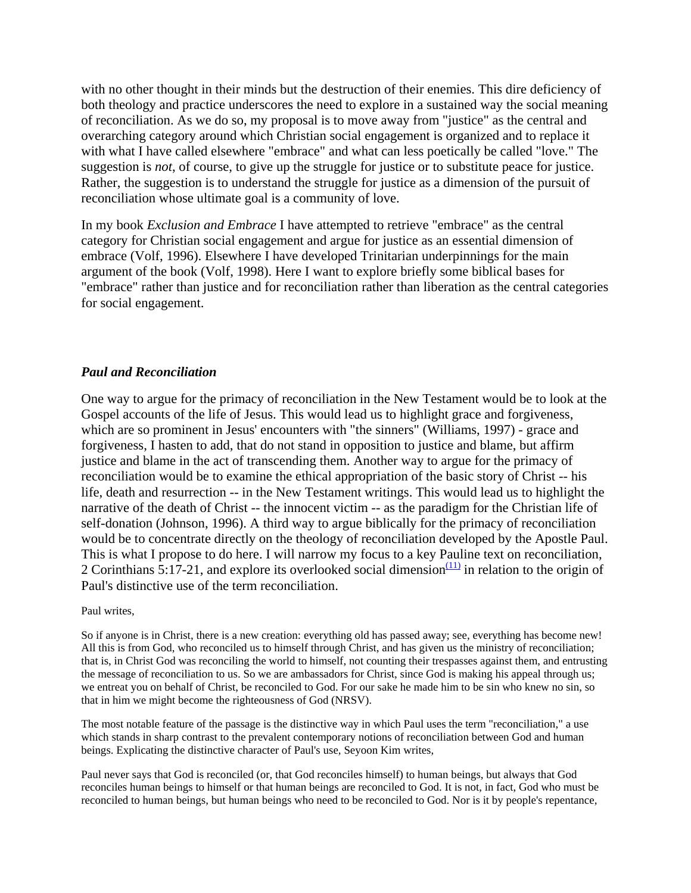with no other thought in their minds but the destruction of their enemies. This dire deficiency of both theology and practice underscores the need to explore in a sustained way the social meaning of reconciliation. As we do so, my proposal is to move away from "justice" as the central and overarching category around which Christian social engagement is organized and to replace it with what I have called elsewhere "embrace" and what can less poetically be called "love." The suggestion is *not*, of course, to give up the struggle for justice or to substitute peace for justice. Rather, the suggestion is to understand the struggle for justice as a dimension of the pursuit of reconciliation whose ultimate goal is a community of love.

In my book *Exclusion and Embrace* I have attempted to retrieve "embrace" as the central category for Christian social engagement and argue for justice as an essential dimension of embrace (Volf, 1996). Elsewhere I have developed Trinitarian underpinnings for the main argument of the book (Volf, 1998). Here I want to explore briefly some biblical bases for "embrace" rather than justice and for reconciliation rather than liberation as the central categories for social engagement.

## *Paul and Reconciliation*

One way to argue for the primacy of reconciliation in the New Testament would be to look at the Gospel accounts of the life of Jesus. This would lead us to highlight grace and forgiveness, which are so prominent in Jesus' encounters with "the sinners" (Williams, 1997) - grace and forgiveness, I hasten to add, that do not stand in opposition to justice and blame, but affirm justice and blame in the act of transcending them. Another way to argue for the primacy of reconciliation would be to examine the ethical appropriation of the basic story of Christ -- his life, death and resurrection -- in the New Testament writings. This would lead us to highlight the narrative of the death of Christ -- the innocent victim -- as the paradigm for the Christian life of self-donation (Johnson, 1996). A third way to argue biblically for the primacy of reconciliation would be to concentrate directly on the theology of reconciliation developed by the Apostle Paul. This is what I propose to do here. I will narrow my focus to a key Pauline text on reconciliation, 2 Corinthians 5:17-21, and explore its overlooked social dimension $\frac{(11)}{(11)}$  in relation to the origin of Paul's distinctive use of the term reconciliation.

#### Paul writes,

So if anyone is in Christ, there is a new creation: everything old has passed away; see, everything has become new! All this is from God, who reconciled us to himself through Christ, and has given us the ministry of reconciliation; that is, in Christ God was reconciling the world to himself, not counting their trespasses against them, and entrusting the message of reconciliation to us. So we are ambassadors for Christ, since God is making his appeal through us; we entreat you on behalf of Christ, be reconciled to God. For our sake he made him to be sin who knew no sin, so that in him we might become the righteousness of God (NRSV).

The most notable feature of the passage is the distinctive way in which Paul uses the term "reconciliation," a use which stands in sharp contrast to the prevalent contemporary notions of reconciliation between God and human beings. Explicating the distinctive character of Paul's use, Seyoon Kim writes,

Paul never says that God is reconciled (or, that God reconciles himself) to human beings, but always that God reconciles human beings to himself or that human beings are reconciled to God. It is not, in fact, God who must be reconciled to human beings, but human beings who need to be reconciled to God. Nor is it by people's repentance,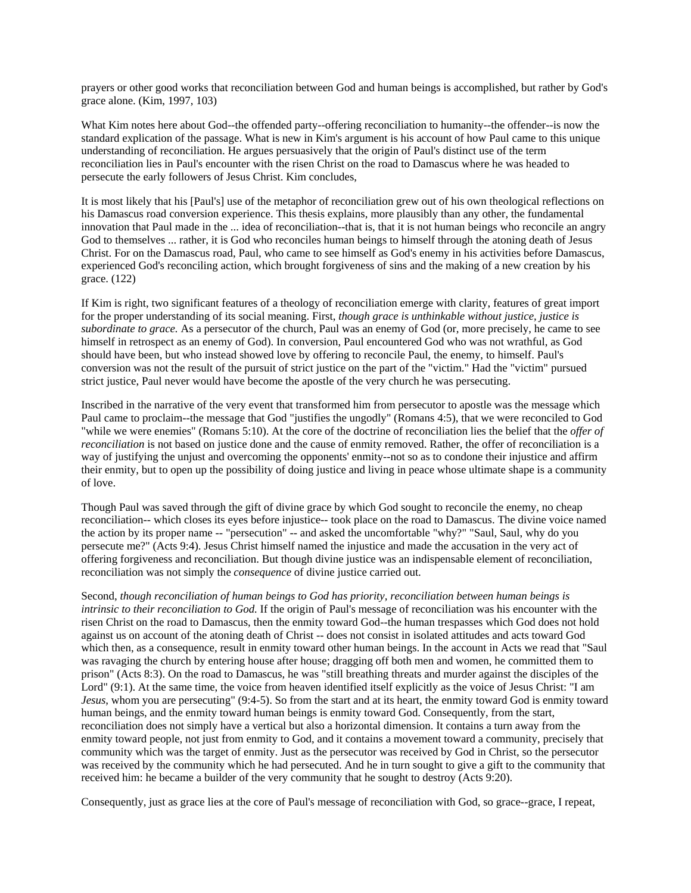prayers or other good works that reconciliation between God and human beings is accomplished, but rather by God's grace alone. (Kim, 1997, 103)

What Kim notes here about God--the offended party--offering reconciliation to humanity--the offender--is now the standard explication of the passage. What is new in Kim's argument is his account of how Paul came to this unique understanding of reconciliation. He argues persuasively that the origin of Paul's distinct use of the term reconciliation lies in Paul's encounter with the risen Christ on the road to Damascus where he was headed to persecute the early followers of Jesus Christ. Kim concludes,

It is most likely that his [Paul's] use of the metaphor of reconciliation grew out of his own theological reflections on his Damascus road conversion experience. This thesis explains, more plausibly than any other, the fundamental innovation that Paul made in the ... idea of reconciliation--that is, that it is not human beings who reconcile an angry God to themselves ... rather, it is God who reconciles human beings to himself through the atoning death of Jesus Christ. For on the Damascus road, Paul, who came to see himself as God's enemy in his activities before Damascus, experienced God's reconciling action, which brought forgiveness of sins and the making of a new creation by his grace. (122)

If Kim is right, two significant features of a theology of reconciliation emerge with clarity, features of great import for the proper understanding of its social meaning. First, *though grace is unthinkable without justice, justice is subordinate to grace.* As a persecutor of the church, Paul was an enemy of God (or, more precisely, he came to see himself in retrospect as an enemy of God). In conversion, Paul encountered God who was not wrathful, as God should have been, but who instead showed love by offering to reconcile Paul, the enemy, to himself. Paul's conversion was not the result of the pursuit of strict justice on the part of the "victim." Had the "victim" pursued strict justice, Paul never would have become the apostle of the very church he was persecuting.

Inscribed in the narrative of the very event that transformed him from persecutor to apostle was the message which Paul came to proclaim--the message that God "justifies the ungodly" (Romans 4:5), that we were reconciled to God "while we were enemies" (Romans 5:10). At the core of the doctrine of reconciliation lies the belief that the *offer of reconciliation* is not based on justice done and the cause of enmity removed. Rather, the offer of reconciliation is a way of justifying the unjust and overcoming the opponents' enmity--not so as to condone their injustice and affirm their enmity, but to open up the possibility of doing justice and living in peace whose ultimate shape is a community of love.

Though Paul was saved through the gift of divine grace by which God sought to reconcile the enemy, no cheap reconciliation-- which closes its eyes before injustice-- took place on the road to Damascus. The divine voice named the action by its proper name -- "persecution" -- and asked the uncomfortable "why?" "Saul, Saul, why do you persecute me?" (Acts 9:4). Jesus Christ himself named the injustice and made the accusation in the very act of offering forgiveness and reconciliation. But though divine justice was an indispensable element of reconciliation, reconciliation was not simply the *consequence* of divine justice carried out.

Second, *though reconciliation of human beings to God has priority, reconciliation between human beings is intrinsic to their reconciliation to God.* If the origin of Paul's message of reconciliation was his encounter with the risen Christ on the road to Damascus, then the enmity toward God--the human trespasses which God does not hold against us on account of the atoning death of Christ -- does not consist in isolated attitudes and acts toward God which then, as a consequence, result in enmity toward other human beings. In the account in Acts we read that "Saul was ravaging the church by entering house after house; dragging off both men and women, he committed them to prison" (Acts 8:3). On the road to Damascus, he was "still breathing threats and murder against the disciples of the Lord" (9:1). At the same time, the voice from heaven identified itself explicitly as the voice of Jesus Christ: "I am *Jesus*, whom you are persecuting" (9:4-5). So from the start and at its heart, the enmity toward God is enmity toward human beings, and the enmity toward human beings is enmity toward God. Consequently, from the start, reconciliation does not simply have a vertical but also a horizontal dimension. It contains a turn away from the enmity toward people, not just from enmity to God, and it contains a movement toward a community, precisely that community which was the target of enmity. Just as the persecutor was received by God in Christ, so the persecutor was received by the community which he had persecuted. And he in turn sought to give a gift to the community that received him: he became a builder of the very community that he sought to destroy (Acts 9:20).

Consequently, just as grace lies at the core of Paul's message of reconciliation with God, so grace--grace, I repeat,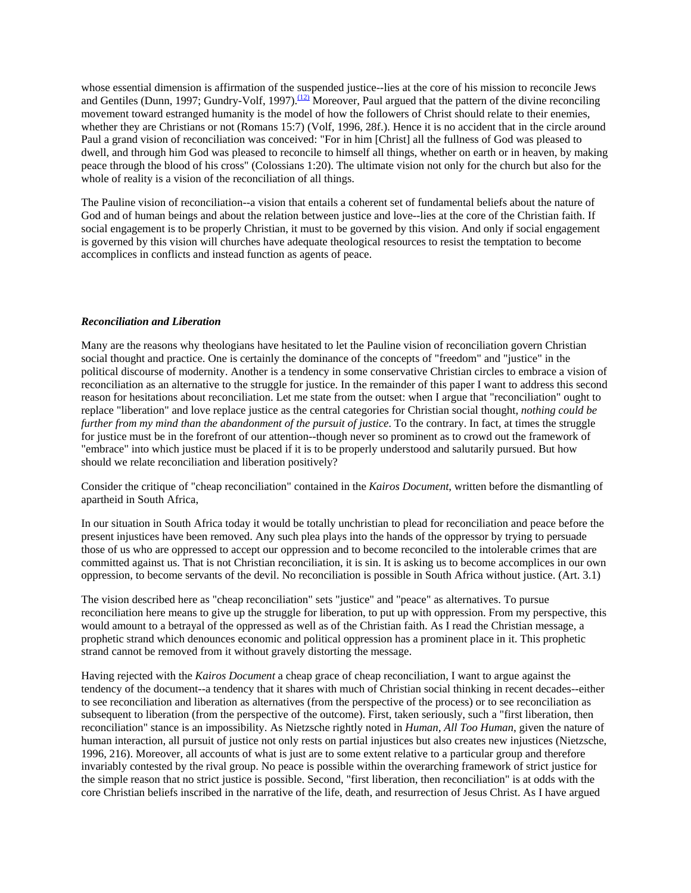whose essential dimension is affirmation of the suspended justice--lies at the core of his mission to reconcile Jews and Gentiles (Dunn, 1997; Gundry-Volf, 1997).<sup>[\(12\)](#page-1-0)</sup> Moreover, Paul argued that the pattern of the divine reconciling movement toward estranged humanity is the model of how the followers of Christ should relate to their enemies, whether they are Christians or not (Romans 15:7) (Volf, 1996, 28f.). Hence it is no accident that in the circle around Paul a grand vision of reconciliation was conceived: "For in him [Christ] all the fullness of God was pleased to dwell, and through him God was pleased to reconcile to himself all things, whether on earth or in heaven, by making peace through the blood of his cross" (Colossians 1:20). The ultimate vision not only for the church but also for the whole of reality is a vision of the reconciliation of all things.

The Pauline vision of reconciliation--a vision that entails a coherent set of fundamental beliefs about the nature of God and of human beings and about the relation between justice and love--lies at the core of the Christian faith. If social engagement is to be properly Christian, it must to be governed by this vision. And only if social engagement is governed by this vision will churches have adequate theological resources to resist the temptation to become accomplices in conflicts and instead function as agents of peace.

#### *Reconciliation and Liberation*

Many are the reasons why theologians have hesitated to let the Pauline vision of reconciliation govern Christian social thought and practice. One is certainly the dominance of the concepts of "freedom" and "justice" in the political discourse of modernity. Another is a tendency in some conservative Christian circles to embrace a vision of reconciliation as an alternative to the struggle for justice. In the remainder of this paper I want to address this second reason for hesitations about reconciliation. Let me state from the outset: when I argue that "reconciliation" ought to replace "liberation" and love replace justice as the central categories for Christian social thought, *nothing could be further from my mind than the abandonment of the pursuit of justice*. To the contrary. In fact, at times the struggle for justice must be in the forefront of our attention--though never so prominent as to crowd out the framework of "embrace" into which justice must be placed if it is to be properly understood and salutarily pursued. But how should we relate reconciliation and liberation positively?

Consider the critique of "cheap reconciliation" contained in the *Kairos Document*, written before the dismantling of apartheid in South Africa,

In our situation in South Africa today it would be totally unchristian to plead for reconciliation and peace before the present injustices have been removed. Any such plea plays into the hands of the oppressor by trying to persuade those of us who are oppressed to accept our oppression and to become reconciled to the intolerable crimes that are committed against us. That is not Christian reconciliation, it is sin. It is asking us to become accomplices in our own oppression, to become servants of the devil. No reconciliation is possible in South Africa without justice. (Art. 3.1)

The vision described here as "cheap reconciliation" sets "justice" and "peace" as alternatives. To pursue reconciliation here means to give up the struggle for liberation, to put up with oppression. From my perspective, this would amount to a betrayal of the oppressed as well as of the Christian faith. As I read the Christian message, a prophetic strand which denounces economic and political oppression has a prominent place in it. This prophetic strand cannot be removed from it without gravely distorting the message.

Having rejected with the *Kairos Document* a cheap grace of cheap reconciliation, I want to argue against the tendency of the document--a tendency that it shares with much of Christian social thinking in recent decades--either to see reconciliation and liberation as alternatives (from the perspective of the process) or to see reconciliation as subsequent to liberation (from the perspective of the outcome). First, taken seriously, such a "first liberation, then reconciliation" stance is an impossibility. As Nietzsche rightly noted in *Human, All Too Human*, given the nature of human interaction, all pursuit of justice not only rests on partial injustices but also creates new injustices (Nietzsche, 1996, 216). Moreover, all accounts of what is just are to some extent relative to a particular group and therefore invariably contested by the rival group. No peace is possible within the overarching framework of strict justice for the simple reason that no strict justice is possible. Second, "first liberation, then reconciliation" is at odds with the core Christian beliefs inscribed in the narrative of the life, death, and resurrection of Jesus Christ. As I have argued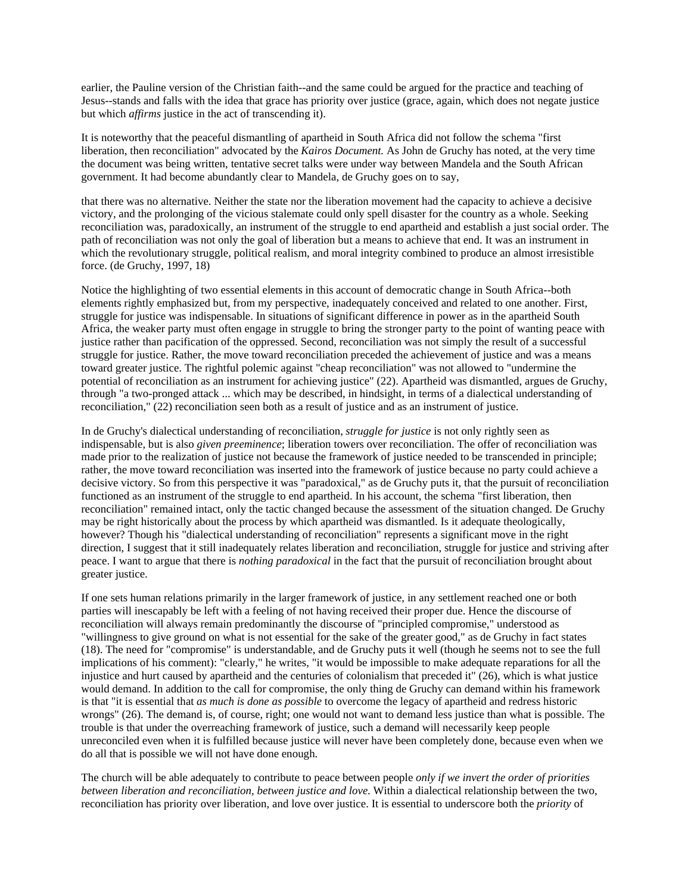earlier, the Pauline version of the Christian faith--and the same could be argued for the practice and teaching of Jesus--stands and falls with the idea that grace has priority over justice (grace, again, which does not negate justice but which *affirms* justice in the act of transcending it).

It is noteworthy that the peaceful dismantling of apartheid in South Africa did not follow the schema "first liberation, then reconciliation" advocated by the *Kairos Document.* As John de Gruchy has noted, at the very time the document was being written, tentative secret talks were under way between Mandela and the South African government. It had become abundantly clear to Mandela, de Gruchy goes on to say,

that there was no alternative. Neither the state nor the liberation movement had the capacity to achieve a decisive victory, and the prolonging of the vicious stalemate could only spell disaster for the country as a whole. Seeking reconciliation was, paradoxically, an instrument of the struggle to end apartheid and establish a just social order. The path of reconciliation was not only the goal of liberation but a means to achieve that end. It was an instrument in which the revolutionary struggle, political realism, and moral integrity combined to produce an almost irresistible force. (de Gruchy, 1997, 18)

Notice the highlighting of two essential elements in this account of democratic change in South Africa--both elements rightly emphasized but, from my perspective, inadequately conceived and related to one another. First, struggle for justice was indispensable. In situations of significant difference in power as in the apartheid South Africa, the weaker party must often engage in struggle to bring the stronger party to the point of wanting peace with justice rather than pacification of the oppressed. Second, reconciliation was not simply the result of a successful struggle for justice. Rather, the move toward reconciliation preceded the achievement of justice and was a means toward greater justice. The rightful polemic against "cheap reconciliation" was not allowed to "undermine the potential of reconciliation as an instrument for achieving justice" (22). Apartheid was dismantled, argues de Gruchy, through "a two-pronged attack ... which may be described, in hindsight, in terms of a dialectical understanding of reconciliation," (22) reconciliation seen both as a result of justice and as an instrument of justice.

In de Gruchy's dialectical understanding of reconciliation, *struggle for justice* is not only rightly seen as indispensable, but is also *given preeminence*; liberation towers over reconciliation. The offer of reconciliation was made prior to the realization of justice not because the framework of justice needed to be transcended in principle; rather, the move toward reconciliation was inserted into the framework of justice because no party could achieve a decisive victory. So from this perspective it was "paradoxical," as de Gruchy puts it, that the pursuit of reconciliation functioned as an instrument of the struggle to end apartheid. In his account, the schema "first liberation, then reconciliation" remained intact, only the tactic changed because the assessment of the situation changed. De Gruchy may be right historically about the process by which apartheid was dismantled. Is it adequate theologically, however? Though his "dialectical understanding of reconciliation" represents a significant move in the right direction, I suggest that it still inadequately relates liberation and reconciliation, struggle for justice and striving after peace. I want to argue that there is *nothing paradoxical* in the fact that the pursuit of reconciliation brought about greater justice.

If one sets human relations primarily in the larger framework of justice, in any settlement reached one or both parties will inescapably be left with a feeling of not having received their proper due. Hence the discourse of reconciliation will always remain predominantly the discourse of "principled compromise," understood as "willingness to give ground on what is not essential for the sake of the greater good," as de Gruchy in fact states (18). The need for "compromise" is understandable, and de Gruchy puts it well (though he seems not to see the full implications of his comment): "clearly," he writes, "it would be impossible to make adequate reparations for all the injustice and hurt caused by apartheid and the centuries of colonialism that preceded it" (26), which is what justice would demand. In addition to the call for compromise, the only thing de Gruchy can demand within his framework is that "it is essential that *as much is done as possible* to overcome the legacy of apartheid and redress historic wrongs" (26). The demand is, of course, right; one would not want to demand less justice than what is possible. The trouble is that under the overreaching framework of justice, such a demand will necessarily keep people unreconciled even when it is fulfilled because justice will never have been completely done, because even when we do all that is possible we will not have done enough.

The church will be able adequately to contribute to peace between people *only if we invert the order of priorities between liberation and reconciliation, between justice and love*. Within a dialectical relationship between the two, reconciliation has priority over liberation, and love over justice. It is essential to underscore both the *priority* of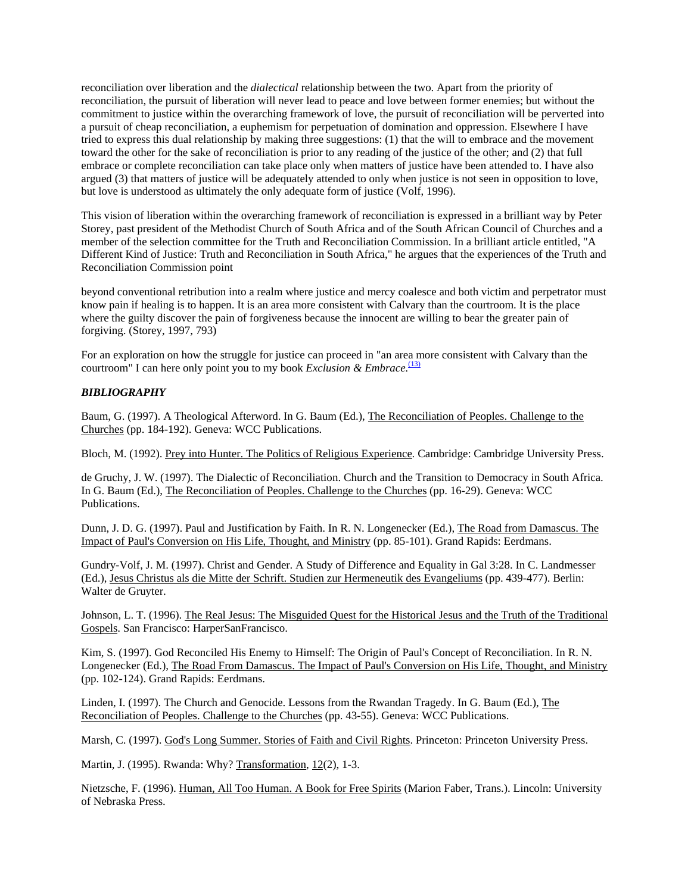reconciliation over liberation and the *dialectical* relationship between the two. Apart from the priority of reconciliation, the pursuit of liberation will never lead to peace and love between former enemies; but without the commitment to justice within the overarching framework of love, the pursuit of reconciliation will be perverted into a pursuit of cheap reconciliation, a euphemism for perpetuation of domination and oppression. Elsewhere I have tried to express this dual relationship by making three suggestions: (1) that the will to embrace and the movement toward the other for the sake of reconciliation is prior to any reading of the justice of the other; and (2) that full embrace or complete reconciliation can take place only when matters of justice have been attended to. I have also argued (3) that matters of justice will be adequately attended to only when justice is not seen in opposition to love, but love is understood as ultimately the only adequate form of justice (Volf, 1996).

This vision of liberation within the overarching framework of reconciliation is expressed in a brilliant way by Peter Storey, past president of the Methodist Church of South Africa and of the South African Council of Churches and a member of the selection committee for the Truth and Reconciliation Commission. In a brilliant article entitled, "A Different Kind of Justice: Truth and Reconciliation in South Africa," he argues that the experiences of the Truth and Reconciliation Commission point

beyond conventional retribution into a realm where justice and mercy coalesce and both victim and perpetrator must know pain if healing is to happen. It is an area more consistent with Calvary than the courtroom. It is the place where the guilty discover the pain of forgiveness because the innocent are willing to bear the greater pain of forgiving. (Storey, 1997, 793)

For an exploration on how the struggle for justice can proceed in "an area more consistent with Calvary than the courtroom" I can here only point you to my book *Exclusion & Embrace*.<sup>[\(13\)](#page-1-0)</sup>

### *BIBLIOGRAPHY*

Baum, G. (1997). A Theological Afterword. In G. Baum (Ed.), The Reconciliation of Peoples. Challenge to the Churches (pp. 184-192). Geneva: WCC Publications.

Bloch, M. (1992). Prey into Hunter. The Politics of Religious Experience. Cambridge: Cambridge University Press.

de Gruchy, J. W. (1997). The Dialectic of Reconciliation. Church and the Transition to Democracy in South Africa. In G. Baum (Ed.), The Reconciliation of Peoples. Challenge to the Churches (pp. 16-29). Geneva: WCC Publications.

Dunn, J. D. G. (1997). Paul and Justification by Faith. In R. N. Longenecker (Ed.), The Road from Damascus. The Impact of Paul's Conversion on His Life, Thought, and Ministry (pp. 85-101). Grand Rapids: Eerdmans.

Gundry-Volf, J. M. (1997). Christ and Gender. A Study of Difference and Equality in Gal 3:28. In C. Landmesser (Ed.), Jesus Christus als die Mitte der Schrift. Studien zur Hermeneutik des Evangeliums (pp. 439-477). Berlin: Walter de Gruyter.

Johnson, L. T. (1996). The Real Jesus: The Misguided Quest for the Historical Jesus and the Truth of the Traditional Gospels. San Francisco: HarperSanFrancisco.

Kim, S. (1997). God Reconciled His Enemy to Himself: The Origin of Paul's Concept of Reconciliation. In R. N. Longenecker (Ed.), The Road From Damascus. The Impact of Paul's Conversion on His Life, Thought, and Ministry (pp. 102-124). Grand Rapids: Eerdmans.

Linden, I. (1997). The Church and Genocide. Lessons from the Rwandan Tragedy. In G. Baum (Ed.), The Reconciliation of Peoples. Challenge to the Churches (pp. 43-55). Geneva: WCC Publications.

Marsh, C. (1997). God's Long Summer. Stories of Faith and Civil Rights. Princeton: Princeton University Press.

Martin, J. (1995). Rwanda: Why? Transformation, 12(2), 1-3.

Nietzsche, F. (1996). Human, All Too Human. A Book for Free Spirits (Marion Faber, Trans.). Lincoln: University of Nebraska Press.